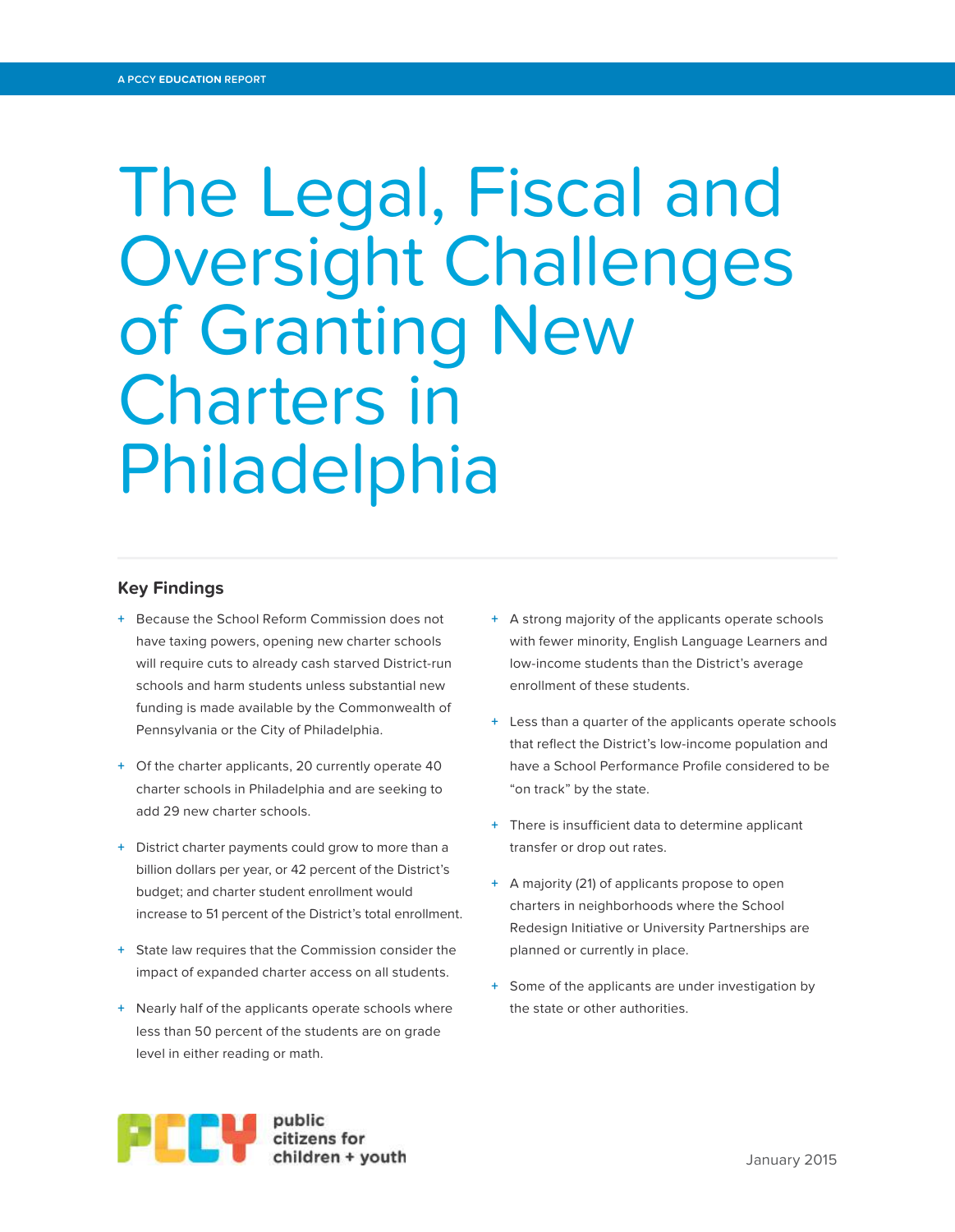# The Legal, Fiscal and Oversight Challenges of Granting New Charters in Philadelphia

# **Key Findings**

- **+** Because the School Reform Commission does not have taxing powers, opening new charter schools will require cuts to already cash starved District-run schools and harm students unless substantial new funding is made available by the Commonwealth of Pennsylvania or the City of Philadelphia.
- **+** Of the charter applicants, 20 currently operate 40 charter schools in Philadelphia and are seeking to add 29 new charter schools.
- **+** District charter payments could grow to more than a billion dollars per year, or 42 percent of the District's budget; and charter student enrollment would increase to 51 percent of the District's total enrollment.
- **+** State law requires that the Commission consider the impact of expanded charter access on all students.
- **+** Nearly half of the applicants operate schools where less than 50 percent of the students are on grade level in either reading or math.
- **+** A strong majority of the applicants operate schools with fewer minority, English Language Learners and low-income students than the District's average enrollment of these students.
- **+** Less than a quarter of the applicants operate schools that reflect the District's low-income population and have a School Performance Profile considered to be "on track" by the state.
- **+** There is insufficient data to determine applicant transfer or drop out rates.
- **+** A majority (21) of applicants propose to open charters in neighborhoods where the School Redesign Initiative or University Partnerships are planned or currently in place.
- **+** Some of the applicants are under investigation by the state or other authorities.

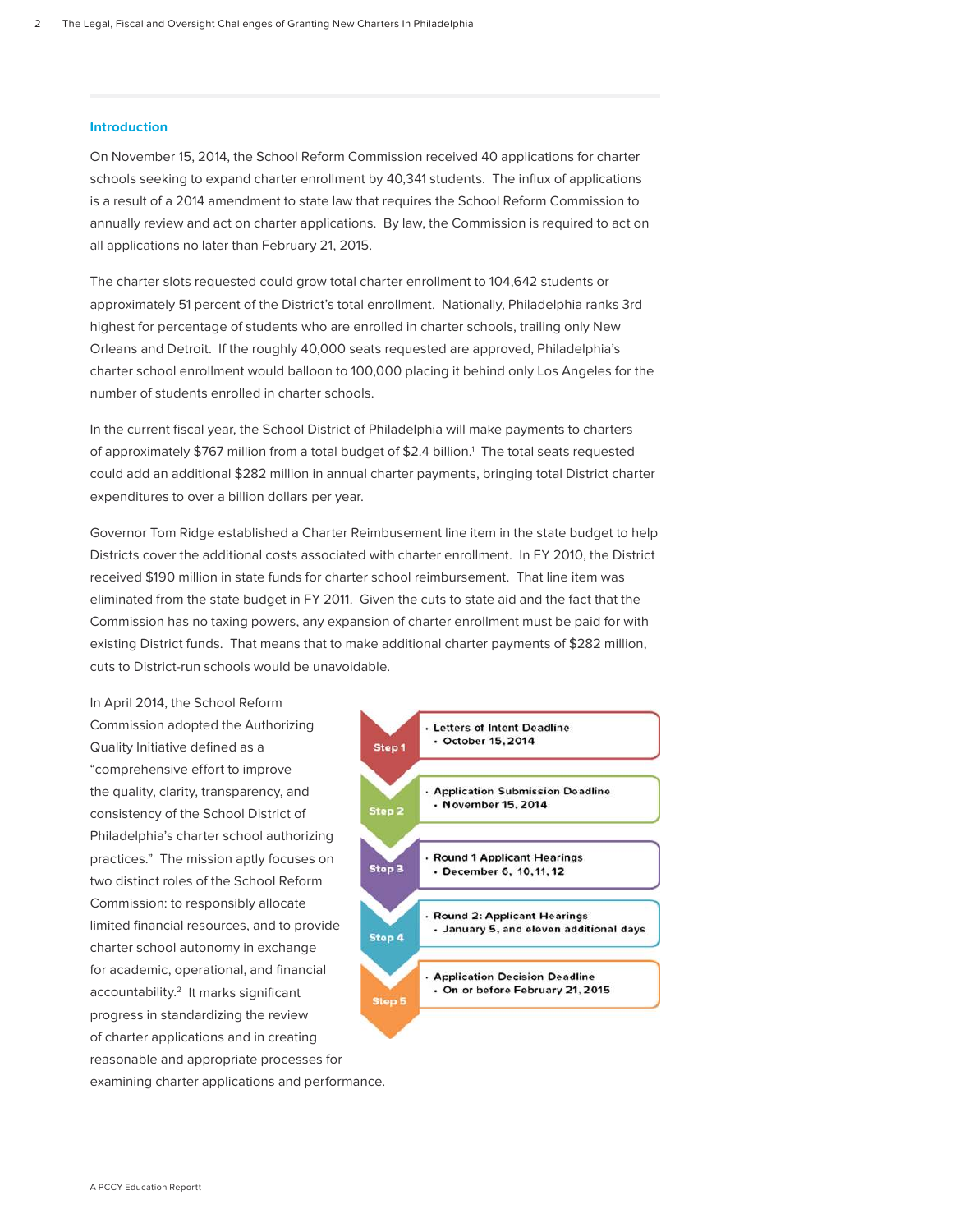#### **Introduction**

On November 15, 2014, the School Reform Commission received 40 applications for charter schools seeking to expand charter enrollment by 40,341 students. The influx of applications is a result of a 2014 amendment to state law that requires the School Reform Commission to annually review and act on charter applications. By law, the Commission is required to act on all applications no later than February 21, 2015.

The charter slots requested could grow total charter enrollment to 104,642 students or approximately 51 percent of the District's total enrollment. Nationally, Philadelphia ranks 3rd highest for percentage of students who are enrolled in charter schools, trailing only New Orleans and Detroit. If the roughly 40,000 seats requested are approved, Philadelphia's charter school enrollment would balloon to 100,000 placing it behind only Los Angeles for the number of students enrolled in charter schools.

In the current fiscal year, the School District of Philadelphia will make payments to charters of approximately \$767 million from a total budget of \$2.4 billion.<sup>1</sup> The total seats requested could add an additional \$282 million in annual charter payments, bringing total District charter expenditures to over a billion dollars per year.

Governor Tom Ridge established a Charter Reimbusement line item in the state budget to help Districts cover the additional costs associated with charter enrollment. In FY 2010, the District received \$190 million in state funds for charter school reimbursement. That line item was eliminated from the state budget in FY 2011. Given the cuts to state aid and the fact that the Commission has no taxing powers, any expansion of charter enrollment must be paid for with existing District funds. That means that to make additional charter payments of \$282 million, cuts to District-run schools would be unavoidable.

In April 2014, the School Reform Commission adopted the Authorizing Quality Initiative defined as a "comprehensive effort to improve the quality, clarity, transparency, and consistency of the School District of Philadelphia's charter school authorizing practices." The mission aptly focuses on two distinct roles of the School Reform Commission: to responsibly allocate limited financial resources, and to provide charter school autonomy in exchange for academic, operational, and financial accountability.<sup>2</sup> It marks significant progress in standardizing the review of charter applications and in creating reasonable and appropriate processes for examining charter applications and performance.

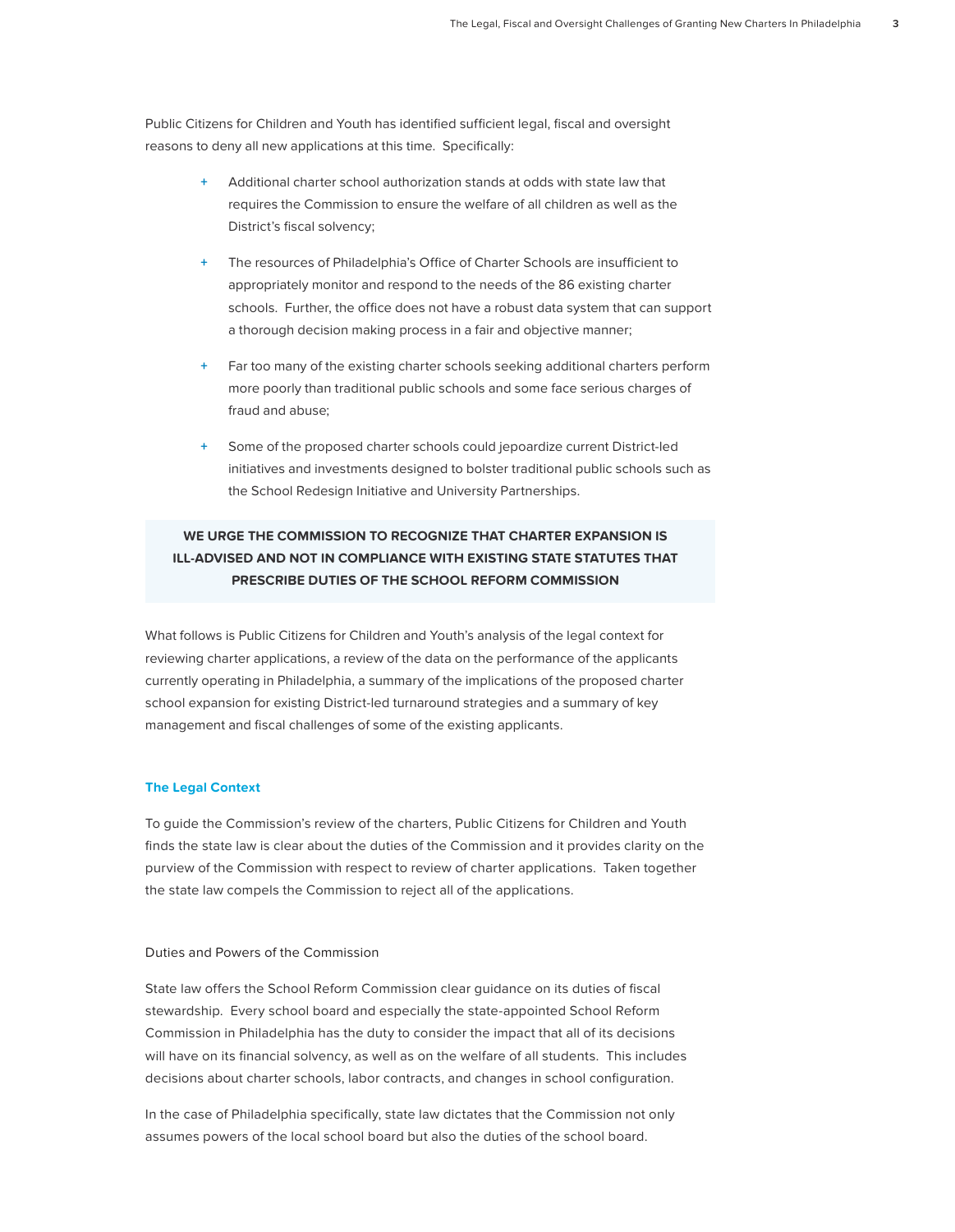Public Citizens for Children and Youth has identified sufficient legal, fiscal and oversight reasons to deny all new applications at this time. Specifically:

- **+** Additional charter school authorization stands at odds with state law that requires the Commission to ensure the welfare of all children as well as the District's fiscal solvency;
- The resources of Philadelphia's Office of Charter Schools are insufficient to appropriately monitor and respond to the needs of the 86 existing charter schools. Further, the office does not have a robust data system that can support a thorough decision making process in a fair and objective manner;
- Far too many of the existing charter schools seeking additional charters perform more poorly than traditional public schools and some face serious charges of fraud and abuse;
- Some of the proposed charter schools could jepoardize current District-led initiatives and investments designed to bolster traditional public schools such as the School Redesign Initiative and University Partnerships.

# **WE URGE THE COMMISSION TO RECOGNIZE THAT CHARTER EXPANSION IS ILL-ADVISED AND NOT IN COMPLIANCE WITH EXISTING STATE STATUTES THAT PRESCRIBE DUTIES OF THE SCHOOL REFORM COMMISSION**

What follows is Public Citizens for Children and Youth's analysis of the legal context for reviewing charter applications, a review of the data on the performance of the applicants currently operating in Philadelphia, a summary of the implications of the proposed charter school expansion for existing District-led turnaround strategies and a summary of key management and fiscal challenges of some of the existing applicants.

# **The Legal Context**

To guide the Commission's review of the charters, Public Citizens for Children and Youth finds the state law is clear about the duties of the Commission and it provides clarity on the purview of the Commission with respect to review of charter applications. Taken together the state law compels the Commission to reject all of the applications.

# Duties and Powers of the Commission

State law offers the School Reform Commission clear guidance on its duties of fiscal stewardship. Every school board and especially the state-appointed School Reform Commission in Philadelphia has the duty to consider the impact that all of its decisions will have on its financial solvency, as well as on the welfare of all students. This includes decisions about charter schools, labor contracts, and changes in school configuration.

In the case of Philadelphia specifically, state law dictates that the Commission not only assumes powers of the local school board but also the duties of the school board.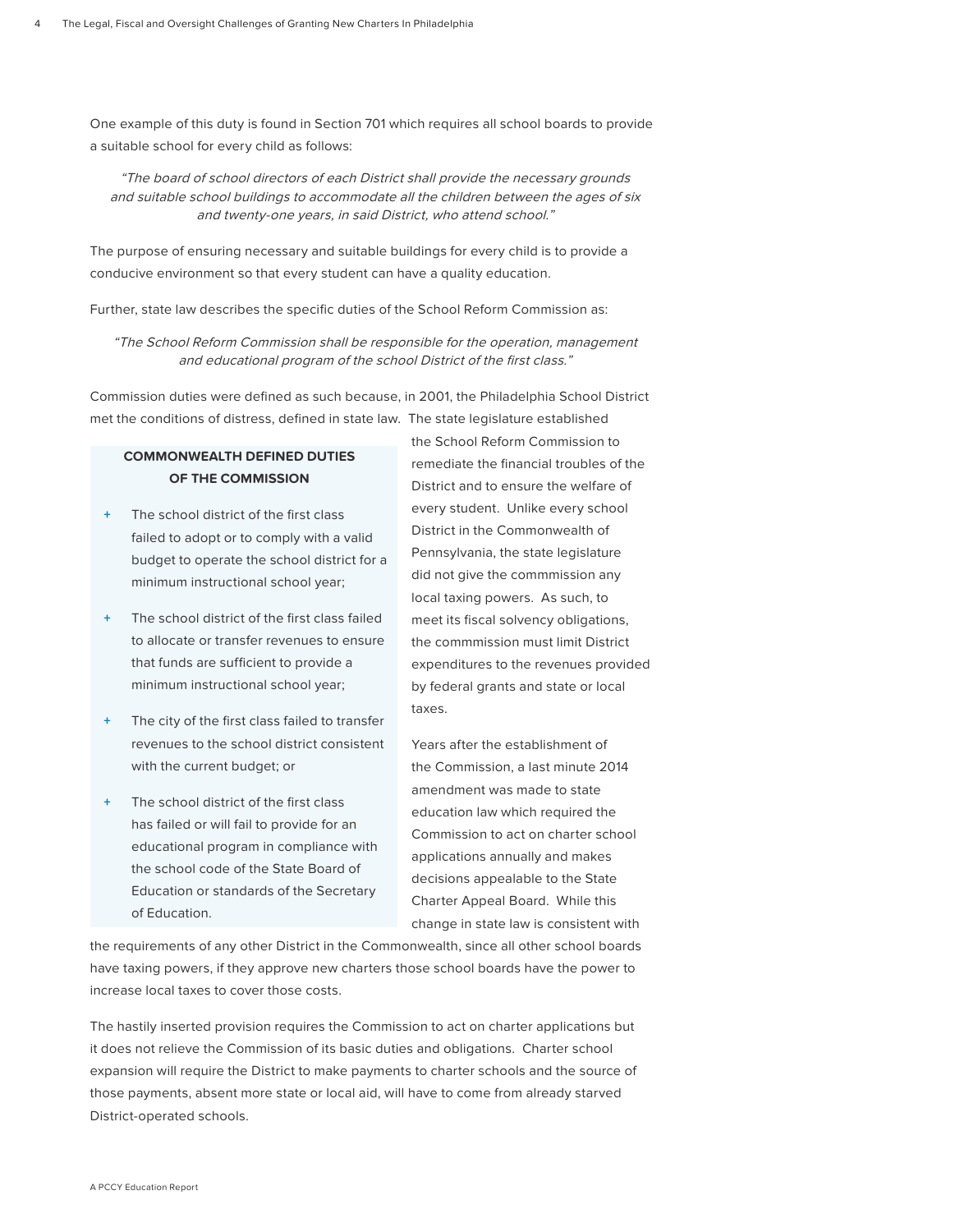One example of this duty is found in Section 701 which requires all school boards to provide a suitable school for every child as follows:

"The board of school directors of each District shall provide the necessary grounds and suitable school buildings to accommodate all the children between the ages of six and twenty-one years, in said District, who attend school."

The purpose of ensuring necessary and suitable buildings for every child is to provide a conducive environment so that every student can have a quality education.

Further, state law describes the specific duties of the School Reform Commission as:

"The School Reform Commission shall be responsible for the operation, management and educational program of the school District of the first class."

Commission duties were defined as such because, in 2001, the Philadelphia School District met the conditions of distress, defined in state law. The state legislature established

# **COMMONWEALTH DEFINED DUTIES OF THE COMMISSION**

- The school district of the first class failed to adopt or to comply with a valid budget to operate the school district for a minimum instructional school year;
- **+** The school district of the first class failed to allocate or transfer revenues to ensure that funds are sufficient to provide a minimum instructional school year;
- The city of the first class failed to transfer revenues to the school district consistent with the current budget; or
- **The school district of the first class** has failed or will fail to provide for an educational program in compliance with the school code of the State Board of Education or standards of the Secretary of Education.

the School Reform Commission to remediate the financial troubles of the District and to ensure the welfare of every student. Unlike every school District in the Commonwealth of Pennsylvania, the state legislature did not give the commmission any local taxing powers. As such, to meet its fiscal solvency obligations, the commmission must limit District expenditures to the revenues provided by federal grants and state or local taxes.

Years after the establishment of the Commission, a last minute 2014 amendment was made to state education law which required the Commission to act on charter school applications annually and makes decisions appealable to the State Charter Appeal Board. While this change in state law is consistent with

the requirements of any other District in the Commonwealth, since all other school boards have taxing powers, if they approve new charters those school boards have the power to increase local taxes to cover those costs.

The hastily inserted provision requires the Commission to act on charter applications but it does not relieve the Commission of its basic duties and obligations. Charter school expansion will require the District to make payments to charter schools and the source of those payments, absent more state or local aid, will have to come from already starved District-operated schools.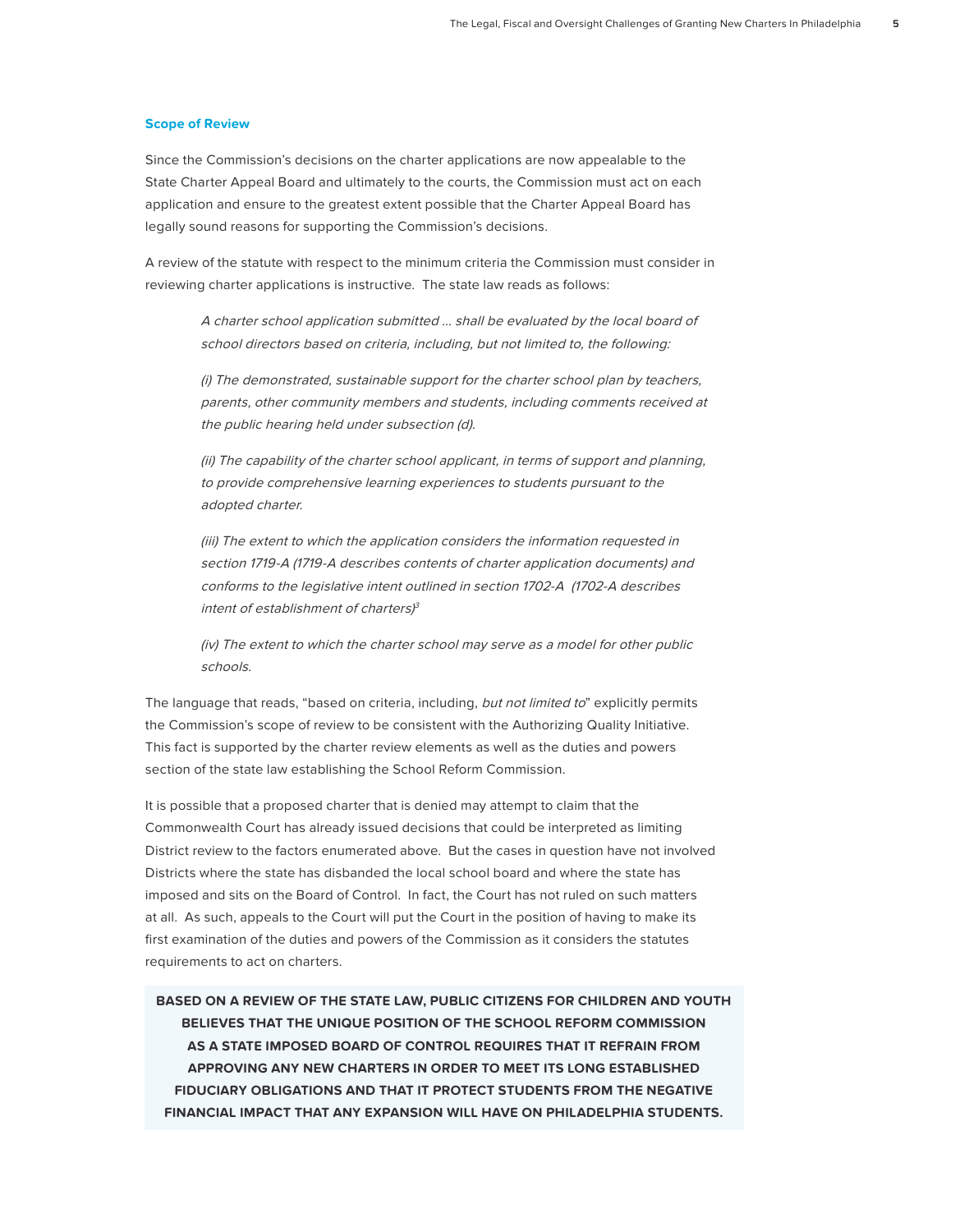#### **Scope of Review**

Since the Commission's decisions on the charter applications are now appealable to the State Charter Appeal Board and ultimately to the courts, the Commission must act on each application and ensure to the greatest extent possible that the Charter Appeal Board has legally sound reasons for supporting the Commission's decisions.

A review of the statute with respect to the minimum criteria the Commission must consider in reviewing charter applications is instructive. The state law reads as follows:

A charter school application submitted … shall be evaluated by the local board of school directors based on criteria, including, but not limited to, the following:

(i) The demonstrated, sustainable support for the charter school plan by teachers, parents, other community members and students, including comments received at the public hearing held under subsection (d).

(ii) The capability of the charter school applicant, in terms of support and planning, to provide comprehensive learning experiences to students pursuant to the adopted charter.

(iii) The extent to which the application considers the information requested in section 1719-A (1719-A describes contents of charter application documents) and conforms to the legislative intent outlined in section 1702-A (1702-A describes intent of establishment of charters) 3

(iv) The extent to which the charter school may serve as a model for other public schools.

The language that reads, "based on criteria, including, but not limited to" explicitly permits the Commission's scope of review to be consistent with the Authorizing Quality Initiative. This fact is supported by the charter review elements as well as the duties and powers section of the state law establishing the School Reform Commission.

It is possible that a proposed charter that is denied may attempt to claim that the Commonwealth Court has already issued decisions that could be interpreted as limiting District review to the factors enumerated above. But the cases in question have not involved Districts where the state has disbanded the local school board and where the state has imposed and sits on the Board of Control. In fact, the Court has not ruled on such matters at all. As such, appeals to the Court will put the Court in the position of having to make its first examination of the duties and powers of the Commission as it considers the statutes requirements to act on charters.

**BASED ON A REVIEW OF THE STATE LAW, PUBLIC CITIZENS FOR CHILDREN AND YOUTH BELIEVES THAT THE UNIQUE POSITION OF THE SCHOOL REFORM COMMISSION AS A STATE IMPOSED BOARD OF CONTROL REQUIRES THAT IT REFRAIN FROM APPROVING ANY NEW CHARTERS IN ORDER TO MEET ITS LONG ESTABLISHED FIDUCIARY OBLIGATIONS AND THAT IT PROTECT STUDENTS FROM THE NEGATIVE FINANCIAL IMPACT THAT ANY EXPANSION WILL HAVE ON PHILADELPHIA STUDENTS.**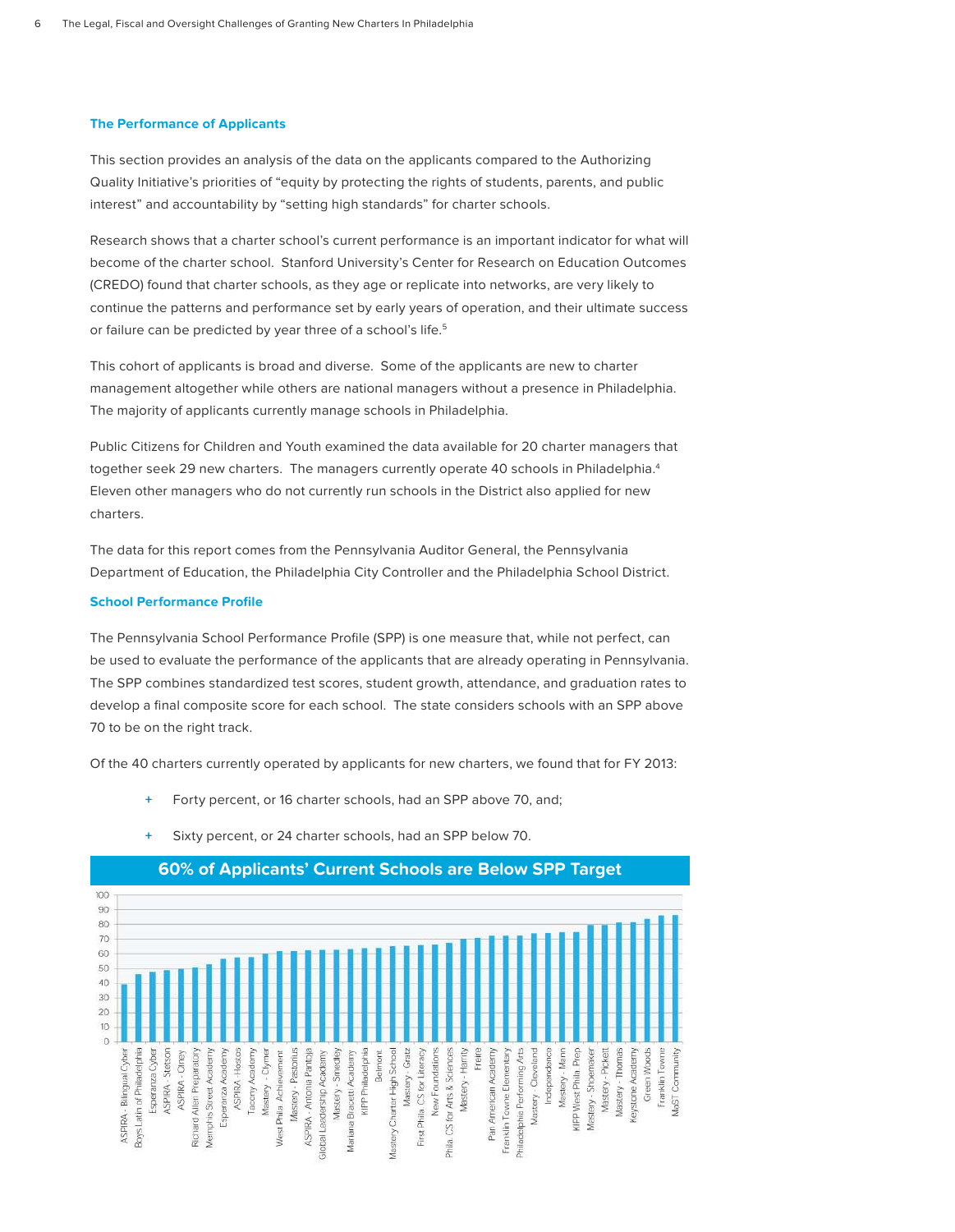### **The Performance of Applicants**

This section provides an analysis of the data on the applicants compared to the Authorizing Quality Initiative's priorities of "equity by protecting the rights of students, parents, and public interest" and accountability by "setting high standards" for charter schools.

Research shows that a charter school's current performance is an important indicator for what will become of the charter school. Stanford University's Center for Research on Education Outcomes (CREDO) found that charter schools, as they age or replicate into networks, are very likely to continue the patterns and performance set by early years of operation, and their ultimate success or failure can be predicted by year three of a school's life.<sup>5</sup>

This cohort of applicants is broad and diverse. Some of the applicants are new to charter management altogether while others are national managers without a presence in Philadelphia. The majority of applicants currently manage schools in Philadelphia.

Public Citizens for Children and Youth examined the data available for 20 charter managers that together seek 29 new charters. The managers currently operate 40 schools in Philadelphia.<sup>4</sup> Eleven other managers who do not currently run schools in the District also applied for new charters.

The data for this report comes from the Pennsylvania Auditor General, the Pennsylvania Department of Education, the Philadelphia City Controller and the Philadelphia School District.

#### **School Performance Profile**

The Pennsylvania School Performance Profile (SPP) is one measure that, while not perfect, can be used to evaluate the performance of the applicants that are already operating in Pennsylvania. The SPP combines standardized test scores, student growth, attendance, and graduation rates to develop a final composite score for each school. The state considers schools with an SPP above 70 to be on the right track.

Of the 40 charters currently operated by applicants for new charters, we found that for FY 2013:

- **+** Forty percent, or 16 charter schools, had an SPP above 70, and;
- Sixty percent, or 24 charter schools, had an SPP below 70.



# **60% of Applicants' Current Schools are Below SPP Target**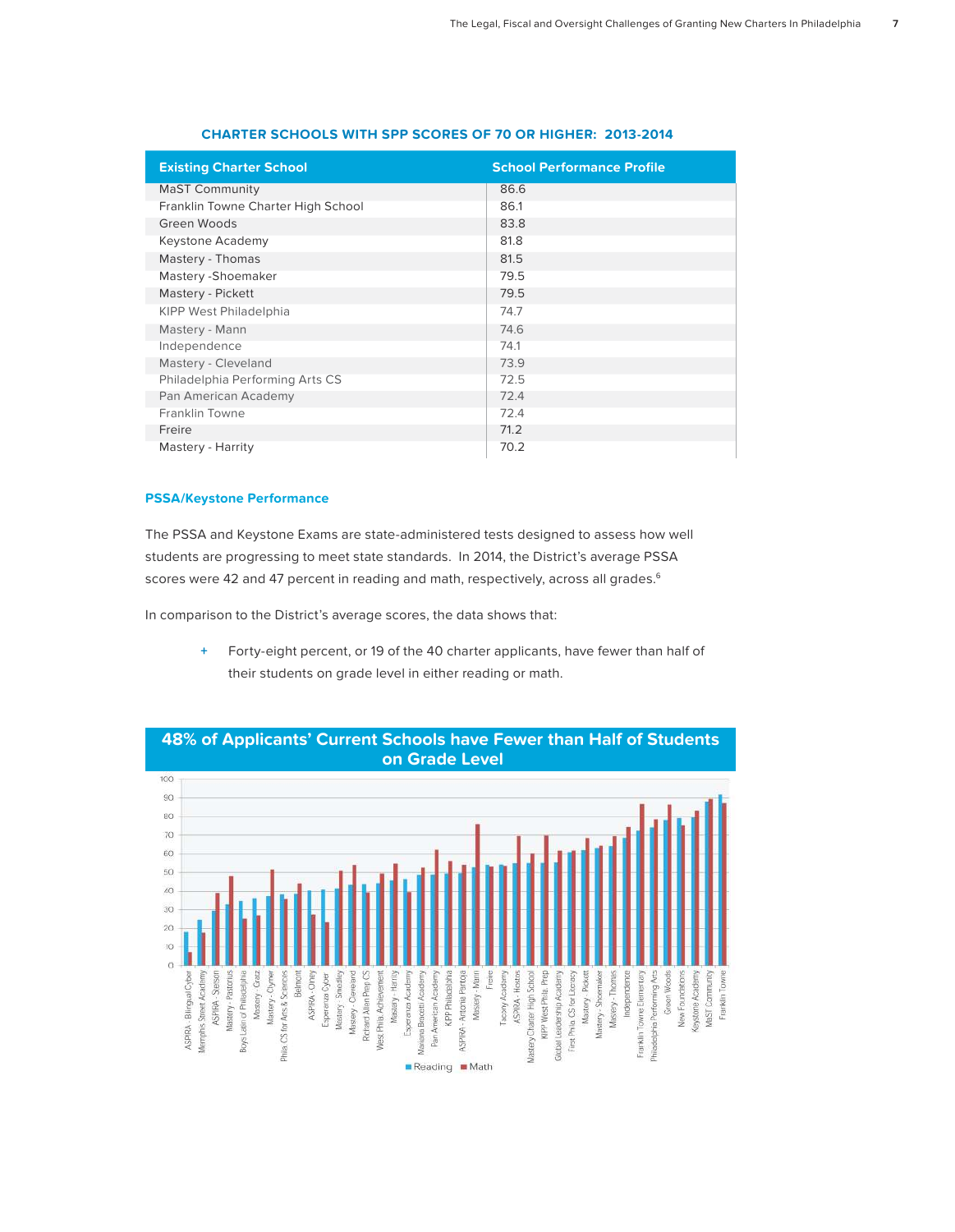| <b>Existing Charter School</b>     | <b>School Performance Profile</b> |
|------------------------------------|-----------------------------------|
| <b>MaST Community</b>              | 86.6                              |
| Franklin Towne Charter High School | 86.1                              |
| Green Woods                        | 83.8                              |
| Keystone Academy                   | 81.8                              |
| Mastery - Thomas                   | 81.5                              |
| Mastery - Shoemaker                | 79.5                              |
| Mastery - Pickett                  | 79.5                              |
| <b>KIPP West Philadelphia</b>      | 74.7                              |
| Mastery - Mann                     | 74.6                              |
| Independence                       | 74.1                              |
| Mastery - Cleveland                | 73.9                              |
| Philadelphia Performing Arts CS    | 72.5                              |
| Pan American Academy               | 72.4                              |
| Franklin Towne                     | 72.4                              |
| Freire                             | 71.2                              |
| Mastery - Harrity                  | 70.2                              |

# **CHARTER SCHOOLS WITH SPP SCORES OF 70 OR HIGHER: 2013-2014**

# **PSSA/Keystone Performance**

The PSSA and Keystone Exams are state-administered tests designed to assess how well students are progressing to meet state standards. In 2014, the District's average PSSA scores were 42 and 47 percent in reading and math, respectively, across all grades. $6$ 

In comparison to the District's average scores, the data shows that:

 **+** Forty-eight percent, or 19 of the 40 charter applicants, have fewer than half of their students on grade level in either reading or math.



**48% of Applicants' Current Schools have Fewer than Half of Students**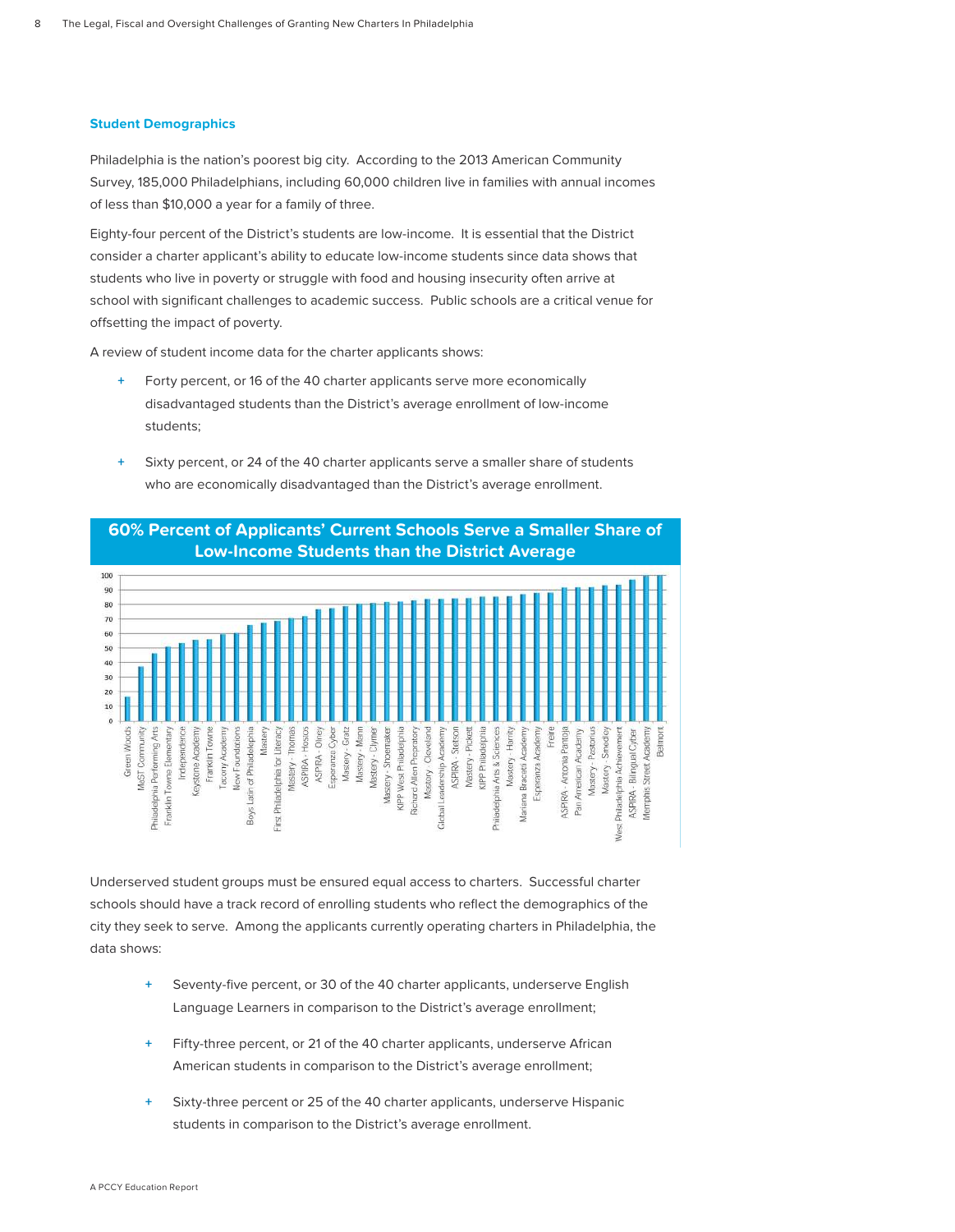# **Student Demographics**

Philadelphia is the nation's poorest big city. According to the 2013 American Community Survey, 185,000 Philadelphians, including 60,000 children live in families with annual incomes of less than \$10,000 a year for a family of three.

Eighty-four percent of the District's students are low-income. It is essential that the District consider a charter applicant's ability to educate low-income students since data shows that students who live in poverty or struggle with food and housing insecurity often arrive at school with significant challenges to academic success. Public schools are a critical venue for offsetting the impact of poverty.

A review of student income data for the charter applicants shows:

- **+** Forty percent, or 16 of the 40 charter applicants serve more economically disadvantaged students than the District's average enrollment of low-income students;
- **+** Sixty percent, or 24 of the 40 charter applicants serve a smaller share of students who are economically disadvantaged than the District's average enrollment.



# **60% Percent of Applicants' Current Schools Serve a Smaller Share of**

Underserved student groups must be ensured equal access to charters. Successful charter schools should have a track record of enrolling students who reflect the demographics of the city they seek to serve. Among the applicants currently operating charters in Philadelphia, the data shows:

- Seventy-five percent, or 30 of the 40 charter applicants, underserve English Language Learners in comparison to the District's average enrollment;
- **+** Fifty-three percent, or 21 of the 40 charter applicants, underserve African American students in comparison to the District's average enrollment;
- **+** Sixty-three percent or 25 of the 40 charter applicants, underserve Hispanic students in comparison to the District's average enrollment.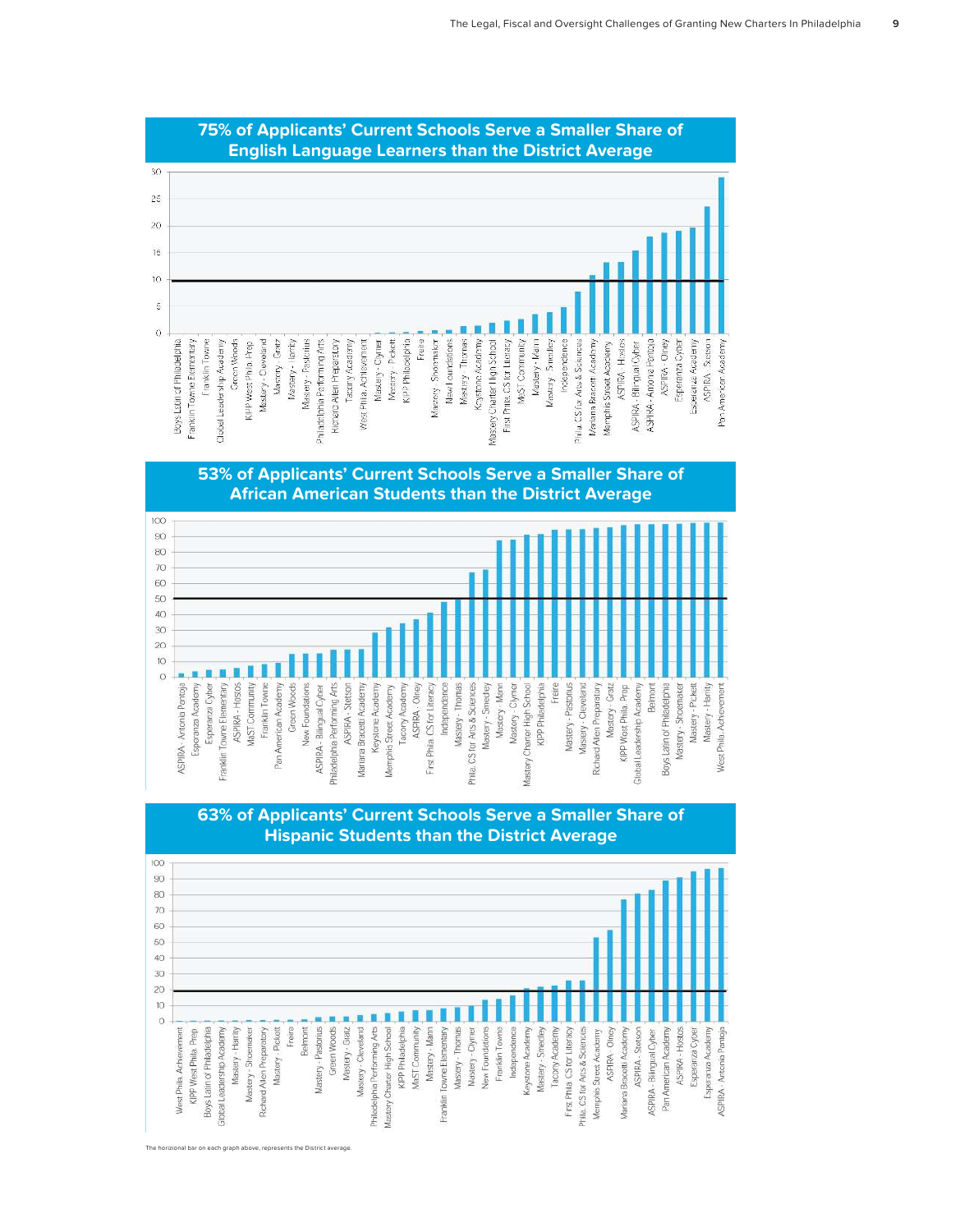

# **75% of Applicants' Current Schools Serve a Smaller Share of English Language Learners than the District Average**





# **63% of Applicants' Current Schools Serve a Smaller Share of Hispanic Students than the District Average**

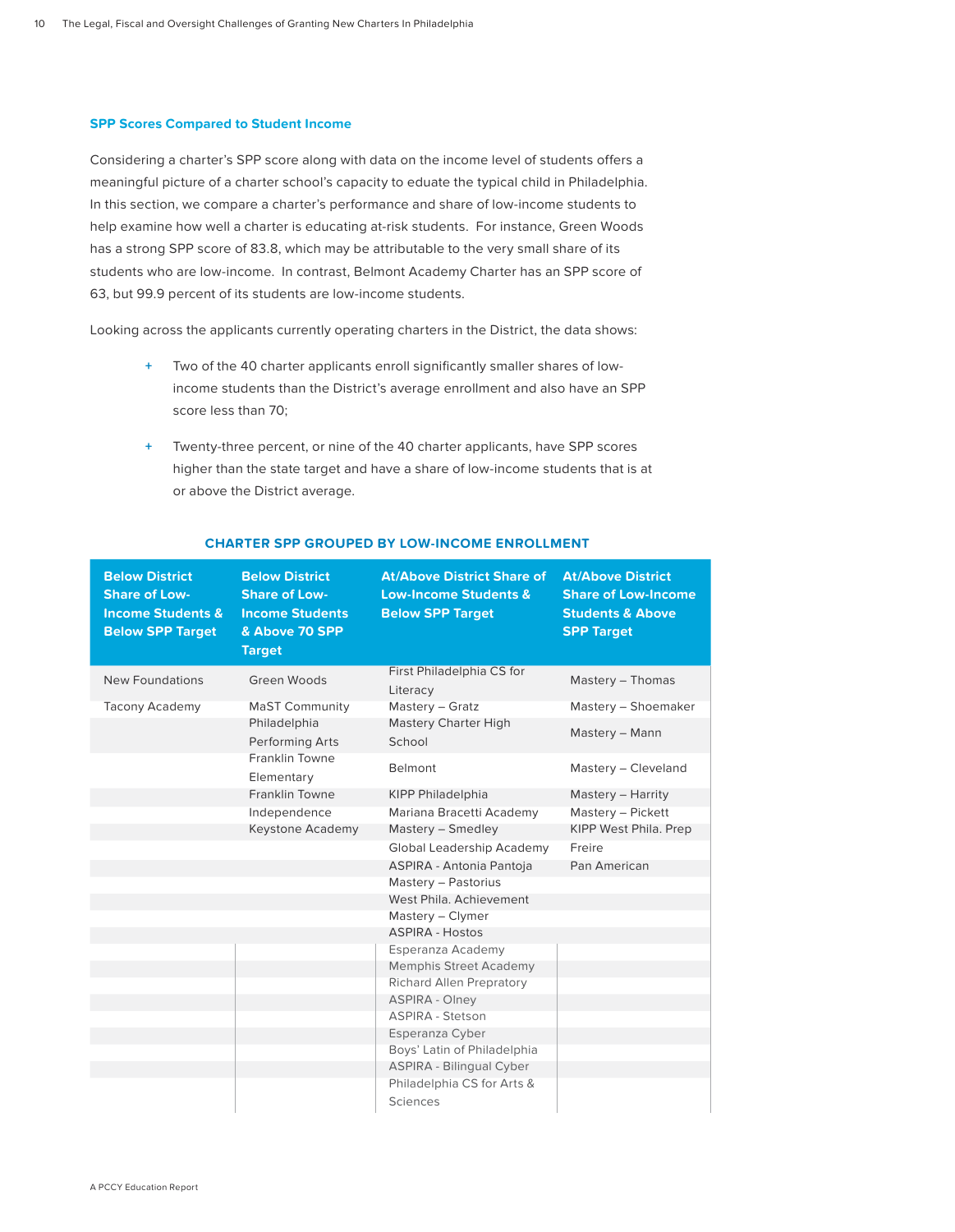# **SPP Scores Compared to Student Income**

Considering a charter's SPP score along with data on the income level of students offers a meaningful picture of a charter school's capacity to eduate the typical child in Philadelphia. In this section, we compare a charter's performance and share of low-income students to help examine how well a charter is educating at-risk students. For instance, Green Woods has a strong SPP score of 83.8, which may be attributable to the very small share of its students who are low-income. In contrast, Belmont Academy Charter has an SPP score of 63, but 99.9 percent of its students are low-income students.

Looking across the applicants currently operating charters in the District, the data shows:

- **+** Two of the 40 charter applicants enroll significantly smaller shares of lowincome students than the District's average enrollment and also have an SPP score less than 70;
- **+** Twenty-three percent, or nine of the 40 charter applicants, have SPP scores higher than the state target and have a share of low-income students that is at or above the District average.

| <b>Below District</b><br><b>Share of Low-</b><br><b>Income Students &amp;</b><br><b>Below SPP Target</b> | <b>Below District</b><br><b>Share of Low-</b><br><b>Income Students</b><br>& Above 70 SPP<br><b>Target</b> | <b>At/Above District Share of</b><br><b>Low-Income Students &amp;</b><br><b>Below SPP Target</b> | <b>At/Above District</b><br><b>Share of Low-Income</b><br><b>Students &amp; Above</b><br><b>SPP Target</b> |
|----------------------------------------------------------------------------------------------------------|------------------------------------------------------------------------------------------------------------|--------------------------------------------------------------------------------------------------|------------------------------------------------------------------------------------------------------------|
| New Foundations                                                                                          | Green Woods                                                                                                | First Philadelphia CS for<br>Literacy                                                            | Mastery - Thomas                                                                                           |
| <b>Tacony Academy</b>                                                                                    | <b>MaST Community</b>                                                                                      | Mastery - Gratz                                                                                  | Mastery - Shoemaker                                                                                        |
|                                                                                                          | Philadelphia<br>Performing Arts                                                                            | Mastery Charter High<br>School                                                                   | Mastery - Mann                                                                                             |
|                                                                                                          | Franklin Towne<br>Elementary                                                                               | Belmont                                                                                          | Mastery - Cleveland                                                                                        |
|                                                                                                          | <b>Franklin Towne</b>                                                                                      | <b>KIPP Philadelphia</b>                                                                         | Mastery - Harrity                                                                                          |
|                                                                                                          | Independence                                                                                               | Mariana Bracetti Academy                                                                         | Mastery - Pickett                                                                                          |
|                                                                                                          | Keystone Academy                                                                                           | Mastery - Smedley                                                                                | KIPP West Phila. Prep                                                                                      |
|                                                                                                          |                                                                                                            | Global Leadership Academy                                                                        | Freire                                                                                                     |
|                                                                                                          |                                                                                                            | ASPIRA - Antonia Pantoja                                                                         | Pan American                                                                                               |
|                                                                                                          |                                                                                                            | Mastery - Pastorius                                                                              |                                                                                                            |
|                                                                                                          |                                                                                                            | West Phila, Achievement                                                                          |                                                                                                            |
|                                                                                                          |                                                                                                            | Mastery - Clymer                                                                                 |                                                                                                            |
|                                                                                                          |                                                                                                            | <b>ASPIRA - Hostos</b>                                                                           |                                                                                                            |
|                                                                                                          |                                                                                                            | Esperanza Academy                                                                                |                                                                                                            |
|                                                                                                          |                                                                                                            | <b>Memphis Street Academy</b>                                                                    |                                                                                                            |
|                                                                                                          |                                                                                                            | <b>Richard Allen Prepratory</b><br><b>ASPIRA - Olney</b>                                         |                                                                                                            |
|                                                                                                          |                                                                                                            | <b>ASPIRA - Stetson</b>                                                                          |                                                                                                            |
|                                                                                                          |                                                                                                            | Esperanza Cyber                                                                                  |                                                                                                            |
|                                                                                                          |                                                                                                            | Boys' Latin of Philadelphia                                                                      |                                                                                                            |
|                                                                                                          |                                                                                                            | ASPIRA - Bilingual Cyber                                                                         |                                                                                                            |
|                                                                                                          |                                                                                                            | Philadelphia CS for Arts &                                                                       |                                                                                                            |
|                                                                                                          |                                                                                                            | Sciences                                                                                         |                                                                                                            |

# **CHARTER SPP GROUPED BY LOW-INCOME ENROLLMENT**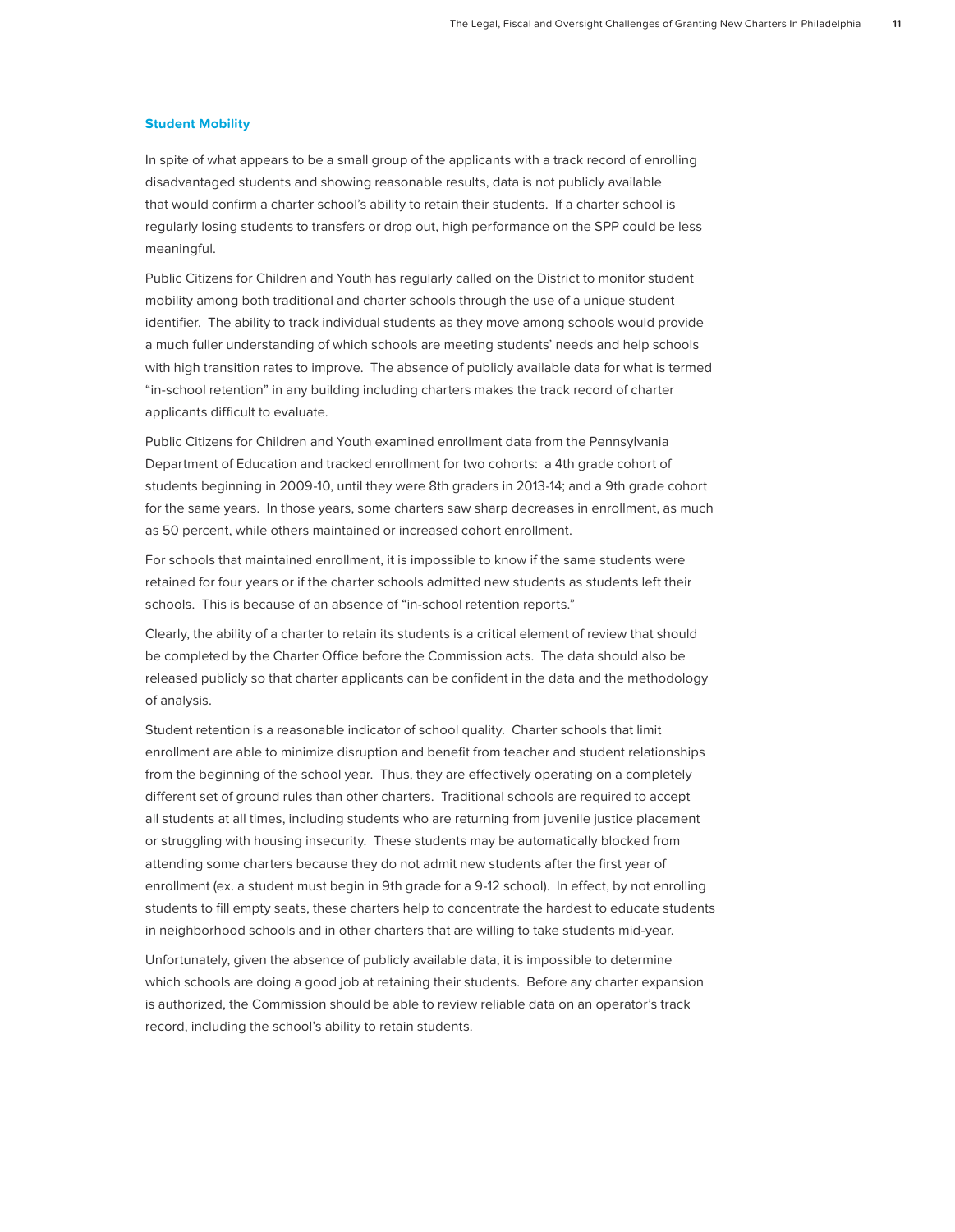# **Student Mobility**

In spite of what appears to be a small group of the applicants with a track record of enrolling disadvantaged students and showing reasonable results, data is not publicly available that would confirm a charter school's ability to retain their students. If a charter school is regularly losing students to transfers or drop out, high performance on the SPP could be less meaningful.

Public Citizens for Children and Youth has regularly called on the District to monitor student mobility among both traditional and charter schools through the use of a unique student identifier. The ability to track individual students as they move among schools would provide a much fuller understanding of which schools are meeting students' needs and help schools with high transition rates to improve. The absence of publicly available data for what is termed "in-school retention" in any building including charters makes the track record of charter applicants difficult to evaluate.

Public Citizens for Children and Youth examined enrollment data from the Pennsylvania Department of Education and tracked enrollment for two cohorts: a 4th grade cohort of students beginning in 2009-10, until they were 8th graders in 2013-14; and a 9th grade cohort for the same years. In those years, some charters saw sharp decreases in enrollment, as much as 50 percent, while others maintained or increased cohort enrollment.

For schools that maintained enrollment, it is impossible to know if the same students were retained for four years or if the charter schools admitted new students as students left their schools. This is because of an absence of "in-school retention reports."

Clearly, the ability of a charter to retain its students is a critical element of review that should be completed by the Charter Office before the Commission acts. The data should also be released publicly so that charter applicants can be confident in the data and the methodology of analysis.

Student retention is a reasonable indicator of school quality. Charter schools that limit enrollment are able to minimize disruption and benefit from teacher and student relationships from the beginning of the school year. Thus, they are effectively operating on a completely different set of ground rules than other charters. Traditional schools are required to accept all students at all times, including students who are returning from juvenile justice placement or struggling with housing insecurity. These students may be automatically blocked from attending some charters because they do not admit new students after the first year of enrollment (ex. a student must begin in 9th grade for a 9-12 school). In effect, by not enrolling students to fill empty seats, these charters help to concentrate the hardest to educate students in neighborhood schools and in other charters that are willing to take students mid-year.

Unfortunately, given the absence of publicly available data, it is impossible to determine which schools are doing a good job at retaining their students. Before any charter expansion is authorized, the Commission should be able to review reliable data on an operator's track record, including the school's ability to retain students.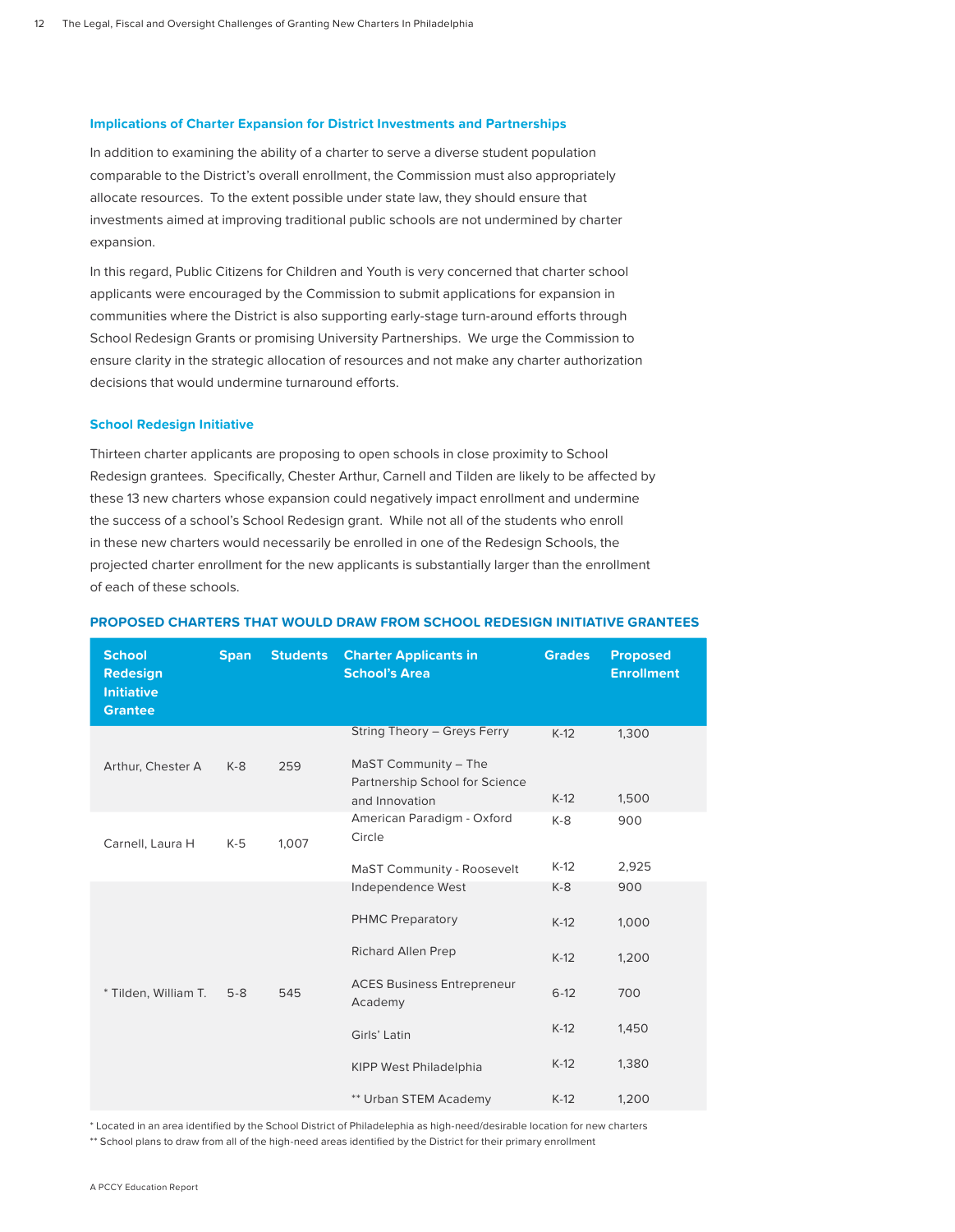# **Implications of Charter Expansion for District Investments and Partnerships**

In addition to examining the ability of a charter to serve a diverse student population comparable to the District's overall enrollment, the Commission must also appropriately allocate resources. To the extent possible under state law, they should ensure that investments aimed at improving traditional public schools are not undermined by charter expansion.

In this regard, Public Citizens for Children and Youth is very concerned that charter school applicants were encouraged by the Commission to submit applications for expansion in communities where the District is also supporting early-stage turn-around efforts through School Redesign Grants or promising University Partnerships. We urge the Commission to ensure clarity in the strategic allocation of resources and not make any charter authorization decisions that would undermine turnaround efforts.

### **School Redesign Initiative**

Thirteen charter applicants are proposing to open schools in close proximity to School Redesign grantees. Specifically, Chester Arthur, Carnell and Tilden are likely to be affected by these 13 new charters whose expansion could negatively impact enrollment and undermine the success of a school's School Redesign grant. While not all of the students who enroll in these new charters would necessarily be enrolled in one of the Redesign Schools, the projected charter enrollment for the new applicants is substantially larger than the enrollment of each of these schools.

| <b>School</b><br><b>Redesign</b><br><b>Initiative</b><br><b>Grantee</b> | <b>Span</b> | <b>Students</b> | <b>Charter Applicants in</b><br><b>School's Area</b>                                                                                                                | <b>Grades</b>                                             | Proposed<br><b>Enrollment</b>                  |
|-------------------------------------------------------------------------|-------------|-----------------|---------------------------------------------------------------------------------------------------------------------------------------------------------------------|-----------------------------------------------------------|------------------------------------------------|
| Arthur, Chester A                                                       | $K-8$       | 259             | String Theory - Greys Ferry<br>MaST Community - The<br>Partnership School for Science<br>and Innovation                                                             | $K-12$<br>$K-12$                                          | 1,300<br>1,500                                 |
| Carnell, Laura H                                                        | $K-5$       | 1,007           | American Paradigm - Oxford<br>Circle<br>MaST Community - Roosevelt                                                                                                  | $K-8$<br>$K-12$                                           | 900<br>2,925                                   |
| * Tilden, William T.                                                    | $5 - 8$     | 545             | Independence West<br><b>PHMC Preparatory</b><br>Richard Allen Prep<br><b>ACES Business Entrepreneur</b><br>Academy<br>Girls' Latin<br><b>KIPP West Philadelphia</b> | $K-8$<br>$K-12$<br>$K-12$<br>$6 - 12$<br>$K-12$<br>$K-12$ | 900<br>1,000<br>1,200<br>700<br>1,450<br>1,380 |
|                                                                         |             |                 | ** Urban STEM Academy                                                                                                                                               | $K-12$                                                    | 1,200                                          |

#### **PROPOSED CHARTERS THAT WOULD DRAW FROM SCHOOL REDESIGN INITIATIVE GRANTEES**

\* Located in an area identified by the School District of Philadelephia as high-need/desirable location for new charters

\*\* School plans to draw from all of the high-need areas identified by the District for their primary enrollment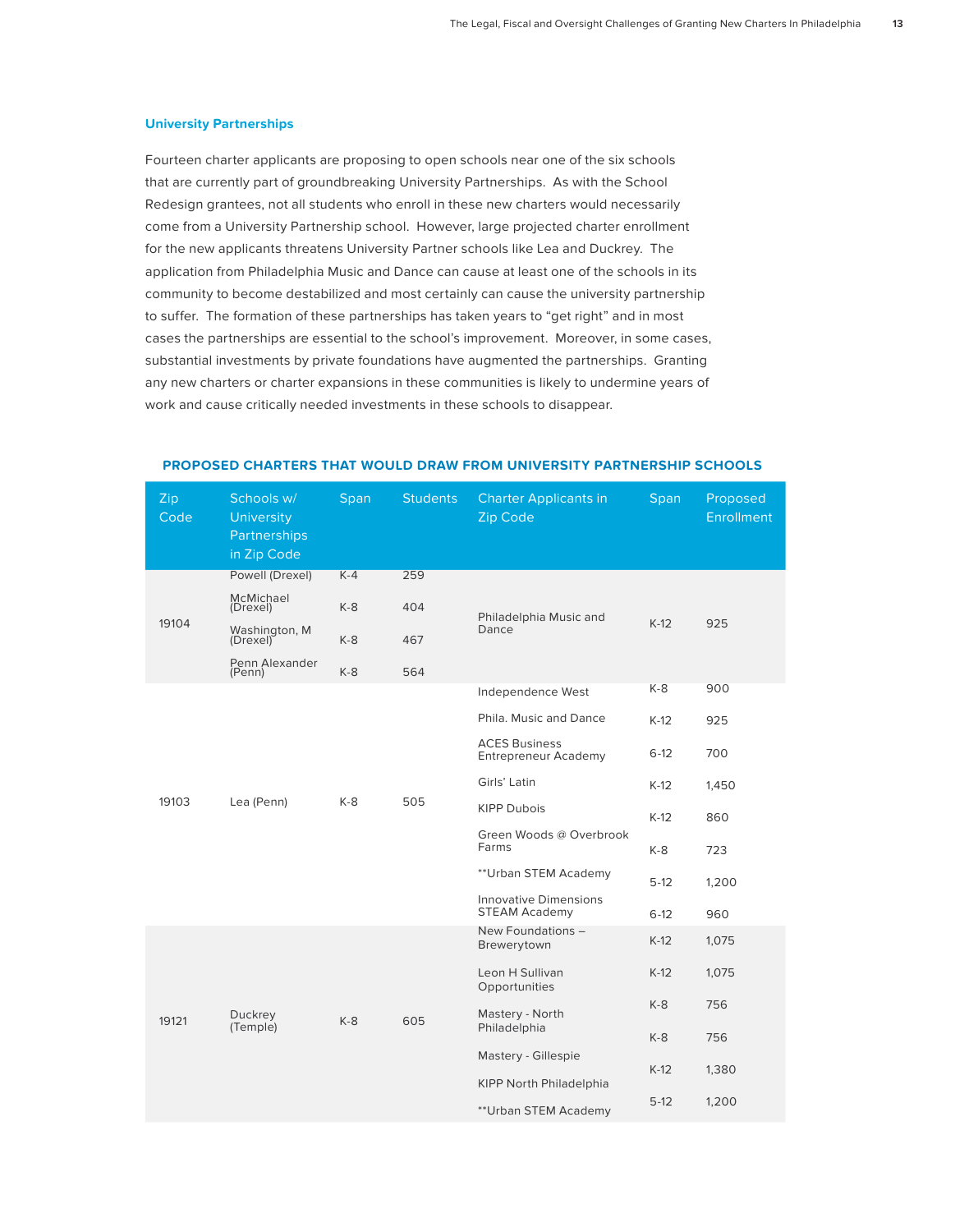# **University Partnerships**

Fourteen charter applicants are proposing to open schools near one of the six schools that are currently part of groundbreaking University Partnerships. As with the School Redesign grantees, not all students who enroll in these new charters would necessarily come from a University Partnership school. However, large projected charter enrollment for the new applicants threatens University Partner schools like Lea and Duckrey. The application from Philadelphia Music and Dance can cause at least one of the schools in its community to become destabilized and most certainly can cause the university partnership to suffer. The formation of these partnerships has taken years to "get right" and in most cases the partnerships are essential to the school's improvement. Moreover, in some cases, substantial investments by private foundations have augmented the partnerships. Granting any new charters or charter expansions in these communities is likely to undermine years of work and cause critically needed investments in these schools to disappear.

| Zip<br>Code | Schools w/<br><b>University</b><br>Partnerships<br>in Zip Code | Span  | <b>Students</b> | <b>Charter Applicants in</b><br>Zip Code             | <b>Span</b> | Proposed<br><b>Enrollment</b> |
|-------------|----------------------------------------------------------------|-------|-----------------|------------------------------------------------------|-------------|-------------------------------|
|             | Powell (Drexel)                                                | $K-4$ | 259             | Philadelphia Music and<br>Dance                      |             |                               |
| 19104       | McMichael<br>(Drexel)                                          | $K-8$ | 404             |                                                      |             |                               |
|             | Washington, M<br>(Drexel)                                      | $K-8$ | 467             |                                                      | $K-12$      | 925                           |
|             | Penn Alexander<br>(Penn)                                       | $K-8$ | 564             |                                                      |             |                               |
|             |                                                                |       |                 | Independence West                                    | K-8         | 900                           |
| 19103       |                                                                |       |                 | Phila, Music and Dance                               | $K-12$      | 925                           |
|             |                                                                |       |                 | <b>ACES Business</b><br><b>Entrepreneur Academy</b>  | $6-12$      | 700                           |
|             |                                                                | K-8   | 505             | Girls' Latin                                         | $K-12$      | 1,450                         |
|             | Lea (Penn)                                                     |       |                 | <b>KIPP Dubois</b>                                   | $K-12$      | 860                           |
|             |                                                                |       |                 | Green Woods @ Overbrook<br>Farms                     | K-8         | 723                           |
|             |                                                                |       |                 | ** Urban STEM Academy                                | $5-12$      | 1,200                         |
|             |                                                                |       |                 | <b>Innovative Dimensions</b><br><b>STEAM Academy</b> | $6 - 12$    | 960                           |
| 19121       |                                                                | $K-8$ | 605             | New Foundations -<br>Brewerytown                     | $K-12$      | 1,075                         |
|             |                                                                |       |                 | Leon H Sullivan<br>Opportunities                     | $K-12$      | 1,075                         |
|             | Duckrey                                                        |       |                 | Mastery - North<br>Philadelphia                      | $K-8$       | 756                           |
|             | (Temple)                                                       |       |                 |                                                      | $K-8$       | 756                           |
|             |                                                                |       |                 | Mastery - Gillespie                                  | $K-12$      | 1,380                         |
|             |                                                                |       |                 | <b>KIPP North Philadelphia</b>                       |             |                               |
|             |                                                                |       |                 | ** Urban STEM Academy                                | $5-12$      | 1,200                         |

# **PROPOSED CHARTERS THAT WOULD DRAW FROM UNIVERSITY PARTNERSHIP SCHOOLS**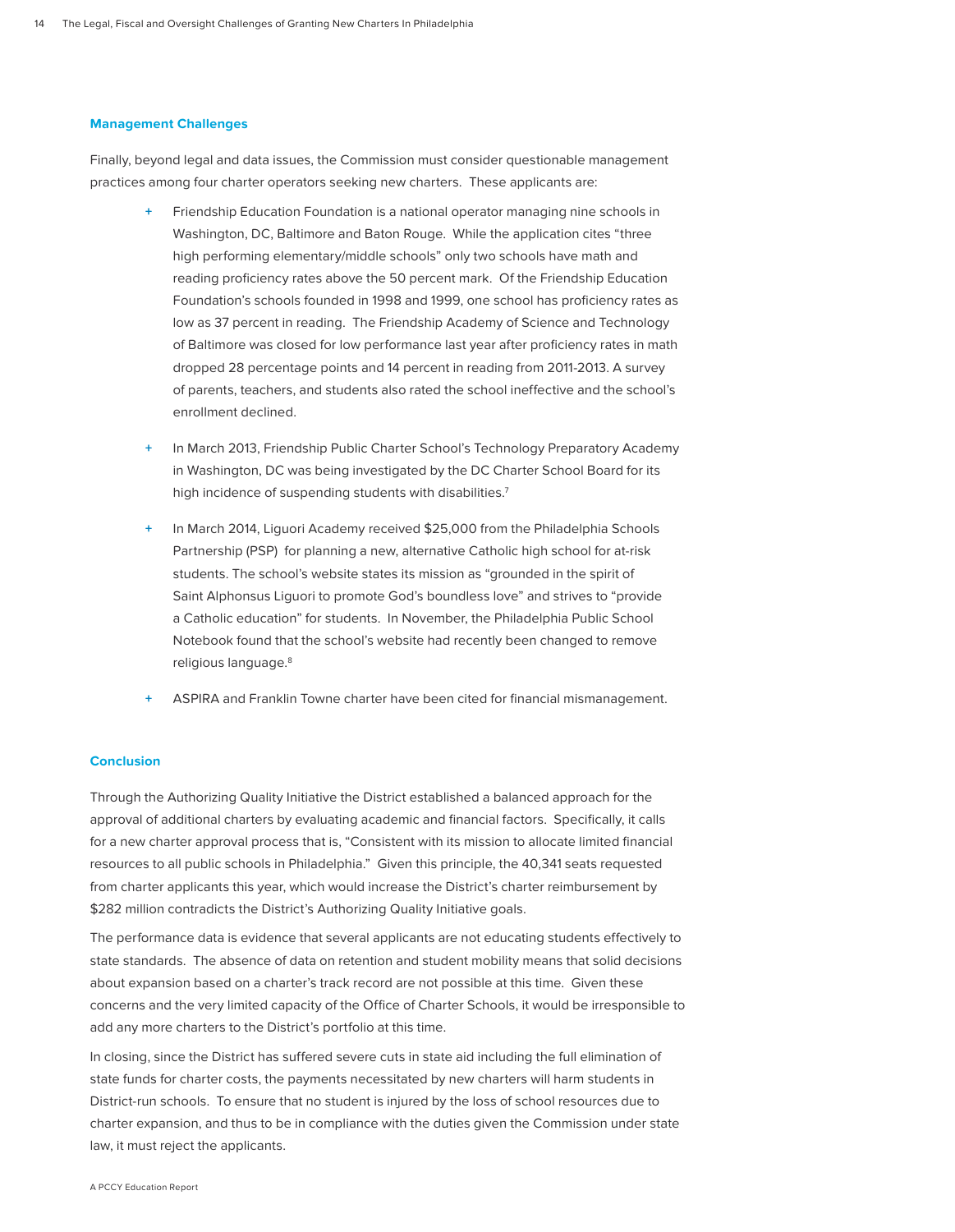# **Management Challenges**

Finally, beyond legal and data issues, the Commission must consider questionable management practices among four charter operators seeking new charters. These applicants are:

- **+** Friendship Education Foundation is a national operator managing nine schools in Washington, DC, Baltimore and Baton Rouge. While the application cites "three high performing elementary/middle schools" only two schools have math and reading proficiency rates above the 50 percent mark. Of the Friendship Education Foundation's schools founded in 1998 and 1999, one school has proficiency rates as low as 37 percent in reading. The Friendship Academy of Science and Technology of Baltimore was closed for low performance last year after proficiency rates in math dropped 28 percentage points and 14 percent in reading from 2011-2013. A survey of parents, teachers, and students also rated the school ineffective and the school's enrollment declined.
- In March 2013, Friendship Public Charter School's Technology Preparatory Academy in Washington, DC was being investigated by the DC Charter School Board for its high incidence of suspending students with disabilities.<sup>7</sup>
- In March 2014, Liguori Academy received \$25,000 from the Philadelphia Schools Partnership (PSP) for planning a new, alternative Catholic high school for at-risk students. The school's website states its mission as "grounded in the spirit of Saint Alphonsus Liguori to promote God's boundless love" and strives to "provide a Catholic education" for students. In November, the Philadelphia Public School Notebook found that the school's website had recently been changed to remove religious language.<sup>8</sup>
- **+** ASPIRA and Franklin Towne charter have been cited for financial mismanagement.

#### **Conclusion**

Through the Authorizing Quality Initiative the District established a balanced approach for the approval of additional charters by evaluating academic and financial factors. Specifically, it calls for a new charter approval process that is, "Consistent with its mission to allocate limited financial resources to all public schools in Philadelphia." Given this principle, the 40,341 seats requested from charter applicants this year, which would increase the District's charter reimbursement by \$282 million contradicts the District's Authorizing Quality Initiative goals.

The performance data is evidence that several applicants are not educating students effectively to state standards. The absence of data on retention and student mobility means that solid decisions about expansion based on a charter's track record are not possible at this time. Given these concerns and the very limited capacity of the Office of Charter Schools, it would be irresponsible to add any more charters to the District's portfolio at this time.

In closing, since the District has suffered severe cuts in state aid including the full elimination of state funds for charter costs, the payments necessitated by new charters will harm students in District-run schools. To ensure that no student is injured by the loss of school resources due to charter expansion, and thus to be in compliance with the duties given the Commission under state law, it must reject the applicants.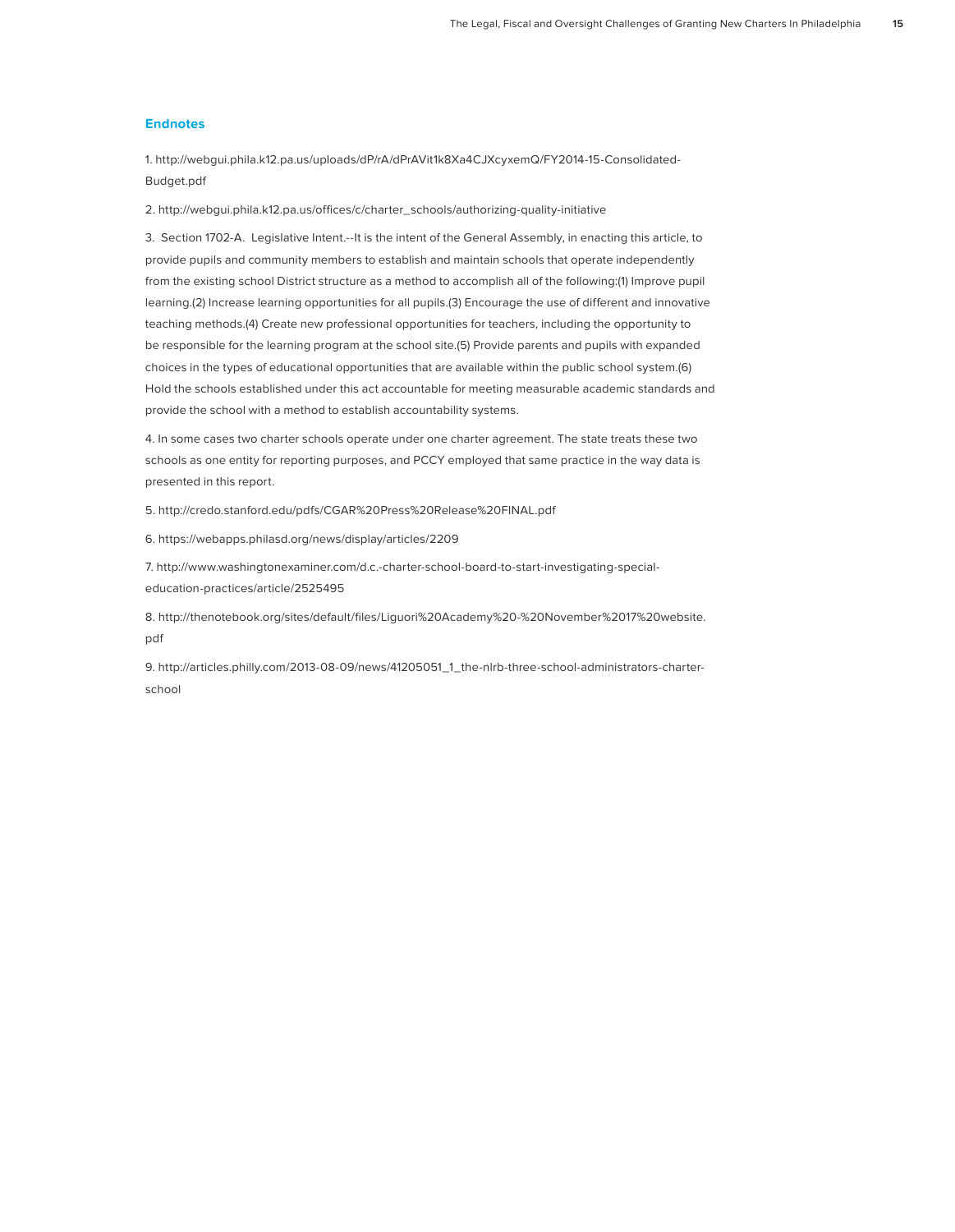# **Endnotes**

1. http://webgui.phila.k12.pa.us/uploads/dP/rA/dPrAVit1k8Xa4CJXcyxemQ/FY2014-15-Consolidated-Budget.pdf

2. http://webgui.phila.k12.pa.us/offices/c/charter\_schools/authorizing-quality-initiative

3. Section 1702-A. Legislative Intent.--It is the intent of the General Assembly, in enacting this article, to provide pupils and community members to establish and maintain schools that operate independently from the existing school District structure as a method to accomplish all of the following:(1) Improve pupil learning.(2) Increase learning opportunities for all pupils.(3) Encourage the use of different and innovative teaching methods.(4) Create new professional opportunities for teachers, including the opportunity to be responsible for the learning program at the school site.(5) Provide parents and pupils with expanded choices in the types of educational opportunities that are available within the public school system.(6) Hold the schools established under this act accountable for meeting measurable academic standards and provide the school with a method to establish accountability systems.

4. In some cases two charter schools operate under one charter agreement. The state treats these two schools as one entity for reporting purposes, and PCCY employed that same practice in the way data is presented in this report.

5. http://credo.stanford.edu/pdfs/CGAR%20Press%20Release%20FINAL.pdf

6. https://webapps.philasd.org/news/display/articles/2209

7. http://www.washingtonexaminer.com/d.c.-charter-school-board-to-start-investigating-specialeducation-practices/article/2525495

8. http://thenotebook.org/sites/default/files/Liguori%20Academy%20-%20November%2017%20website. pdf

9. http://articles.philly.com/2013-08-09/news/41205051\_1\_the-nlrb-three-school-administrators-charterschool